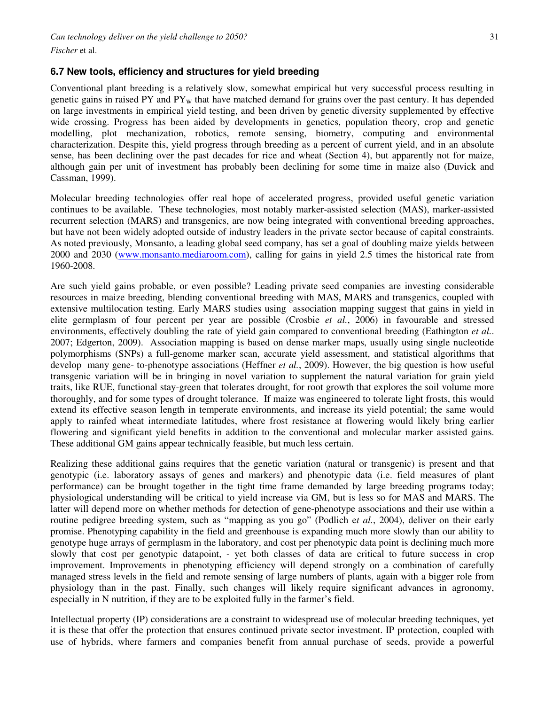#### **6.7 New tools, efficiency and structures for yield breeding**

Conventional plant breeding is a relatively slow, somewhat empirical but very successful process resulting in genetic gains in raised PY and PY<sub>W</sub> that have matched demand for grains over the past century. It has depended on large investments in empirical yield testing, and been driven by genetic diversity supplemented by effective wide crossing. Progress has been aided by developments in genetics, population theory, crop and genetic modelling, plot mechanization, robotics, remote sensing, biometry, computing and environmental characterization. Despite this, yield progress through breeding as a percent of current yield, and in an absolute sense, has been declining over the past decades for rice and wheat (Section 4), but apparently not for maize, although gain per unit of investment has probably been declining for some time in maize also (Duvick and Cassman, 1999).

Molecular breeding technologies offer real hope of accelerated progress, provided useful genetic variation continues to be available. These technologies, most notably marker-assisted selection (MAS), marker-assisted recurrent selection (MARS) and transgenics, are now being integrated with conventional breeding approaches, but have not been widely adopted outside of industry leaders in the private sector because of capital constraints. As noted previously, Monsanto, a leading global seed company, has set a goal of doubling maize yields between 2000 and 2030 (www.monsanto.mediaroom.com), calling for gains in yield 2.5 times the historical rate from 1960-2008.

Are such yield gains probable, or even possible? Leading private seed companies are investing considerable resources in maize breeding, blending conventional breeding with MAS, MARS and transgenics, coupled with extensive multilocation testing. Early MARS studies using association mapping suggest that gains in yield in elite germplasm of four percent per year are possible (Crosbie *et al.*, 2006) in favourable and stressed environments, effectively doubling the rate of yield gain compared to conventional breeding (Eathington *et al.*. 2007; Edgerton, 2009). Association mapping is based on dense marker maps, usually using single nucleotide polymorphisms (SNPs) a full-genome marker scan, accurate yield assessment, and statistical algorithms that develop many gene- to-phenotype associations (Heffner *et al.*, 2009). However, the big question is how useful transgenic variation will be in bringing in novel variation to supplement the natural variation for grain yield traits, like RUE, functional stay-green that tolerates drought, for root growth that explores the soil volume more thoroughly, and for some types of drought tolerance. If maize was engineered to tolerate light frosts, this would extend its effective season length in temperate environments, and increase its yield potential; the same would apply to rainfed wheat intermediate latitudes, where frost resistance at flowering would likely bring earlier flowering and significant yield benefits in addition to the conventional and molecular marker assisted gains. These additional GM gains appear technically feasible, but much less certain.

Realizing these additional gains requires that the genetic variation (natural or transgenic) is present and that genotypic (i.e. laboratory assays of genes and markers) and phenotypic data (i.e. field measures of plant performance) can be brought together in the tight time frame demanded by large breeding programs today; physiological understanding will be critical to yield increase via GM, but is less so for MAS and MARS. The latter will depend more on whether methods for detection of gene-phenotype associations and their use within a routine pedigree breeding system, such as "mapping as you go" (Podlich e*t al.*, 2004), deliver on their early promise. Phenotyping capability in the field and greenhouse is expanding much more slowly than our ability to genotype huge arrays of germplasm in the laboratory, and cost per phenotypic data point is declining much more slowly that cost per genotypic datapoint, - yet both classes of data are critical to future success in crop improvement. Improvements in phenotyping efficiency will depend strongly on a combination of carefully managed stress levels in the field and remote sensing of large numbers of plants, again with a bigger role from physiology than in the past. Finally, such changes will likely require significant advances in agronomy, especially in N nutrition, if they are to be exploited fully in the farmer's field.

Intellectual property (IP) considerations are a constraint to widespread use of molecular breeding techniques, yet it is these that offer the protection that ensures continued private sector investment. IP protection, coupled with use of hybrids, where farmers and companies benefit from annual purchase of seeds, provide a powerful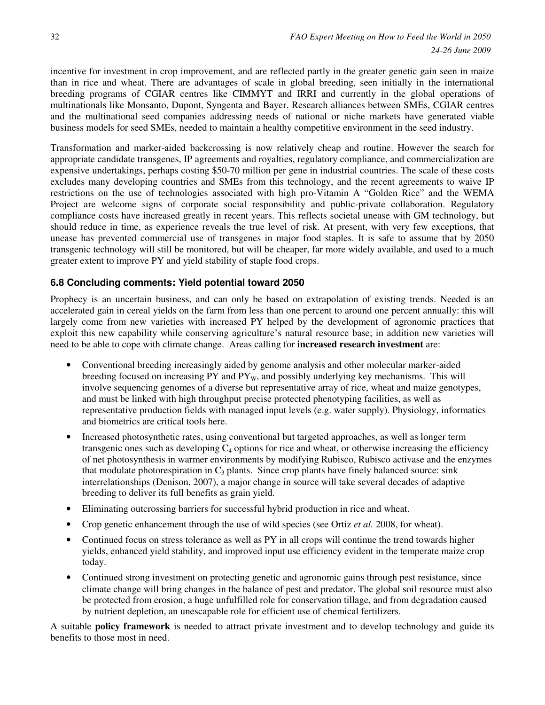incentive for investment in crop improvement, and are reflected partly in the greater genetic gain seen in maize than in rice and wheat. There are advantages of scale in global breeding, seen initially in the international breeding programs of CGIAR centres like CIMMYT and IRRI and currently in the global operations of multinationals like Monsanto, Dupont, Syngenta and Bayer. Research alliances between SMEs, CGIAR centres and the multinational seed companies addressing needs of national or niche markets have generated viable business models for seed SMEs, needed to maintain a healthy competitive environment in the seed industry.

Transformation and marker-aided backcrossing is now relatively cheap and routine. However the search for appropriate candidate transgenes, IP agreements and royalties, regulatory compliance, and commercialization are expensive undertakings, perhaps costing \$50-70 million per gene in industrial countries. The scale of these costs excludes many developing countries and SMEs from this technology, and the recent agreements to waive IP restrictions on the use of technologies associated with high pro-Vitamin A "Golden Rice" and the WEMA Project are welcome signs of corporate social responsibility and public-private collaboration. Regulatory compliance costs have increased greatly in recent years. This reflects societal unease with GM technology, but should reduce in time, as experience reveals the true level of risk. At present, with very few exceptions, that unease has prevented commercial use of transgenes in major food staples. It is safe to assume that by 2050 transgenic technology will still be monitored, but will be cheaper, far more widely available, and used to a much greater extent to improve PY and yield stability of staple food crops.

#### **6.8 Concluding comments: Yield potential toward 2050**

Prophecy is an uncertain business, and can only be based on extrapolation of existing trends. Needed is an accelerated gain in cereal yields on the farm from less than one percent to around one percent annually: this will largely come from new varieties with increased PY helped by the development of agronomic practices that exploit this new capability while conserving agriculture's natural resource base; in addition new varieties will need to be able to cope with climate change. Areas calling for **increased research investment** are:

- Conventional breeding increasingly aided by genome analysis and other molecular marker-aided breeding focused on increasing  $PY$  and  $PY<sub>W</sub>$ , and possibly underlying key mechanisms. This will involve sequencing genomes of a diverse but representative array of rice, wheat and maize genotypes, and must be linked with high throughput precise protected phenotyping facilities, as well as representative production fields with managed input levels (e.g. water supply). Physiology, informatics and biometrics are critical tools here.
- Increased photosynthetic rates, using conventional but targeted approaches, as well as longer term transgenic ones such as developing  $C_4$  options for rice and wheat, or otherwise increasing the efficiency of net photosynthesis in warmer environments by modifying Rubisco, Rubisco activase and the enzymes that modulate photorespiration in  $C_3$  plants. Since crop plants have finely balanced source: sink interrelationships (Denison, 2007), a major change in source will take several decades of adaptive breeding to deliver its full benefits as grain yield.
- Eliminating outcrossing barriers for successful hybrid production in rice and wheat.
- Crop genetic enhancement through the use of wild species (see Ortiz *et al.* 2008, for wheat).
- Continued focus on stress tolerance as well as PY in all crops will continue the trend towards higher yields, enhanced yield stability, and improved input use efficiency evident in the temperate maize crop today.
- Continued strong investment on protecting genetic and agronomic gains through pest resistance, since climate change will bring changes in the balance of pest and predator. The global soil resource must also be protected from erosion, a huge unfulfilled role for conservation tillage, and from degradation caused by nutrient depletion, an unescapable role for efficient use of chemical fertilizers.

A suitable **policy framework** is needed to attract private investment and to develop technology and guide its benefits to those most in need.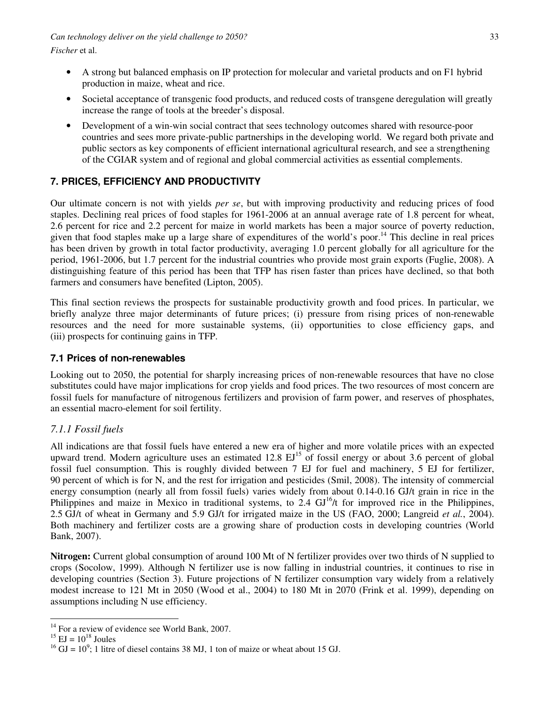- A strong but balanced emphasis on IP protection for molecular and varietal products and on F1 hybrid production in maize, wheat and rice.
- Societal acceptance of transgenic food products, and reduced costs of transgene deregulation will greatly increase the range of tools at the breeder's disposal.
- Development of a win-win social contract that sees technology outcomes shared with resource-poor countries and sees more private-public partnerships in the developing world. We regard both private and public sectors as key components of efficient international agricultural research, and see a strengthening of the CGIAR system and of regional and global commercial activities as essential complements.

# **7. PRICES, EFFICIENCY AND PRODUCTIVITY**

Our ultimate concern is not with yields *per se*, but with improving productivity and reducing prices of food staples. Declining real prices of food staples for 1961-2006 at an annual average rate of 1.8 percent for wheat, 2.6 percent for rice and 2.2 percent for maize in world markets has been a major source of poverty reduction, given that food staples make up a large share of expenditures of the world's poor.<sup>14</sup> This decline in real prices has been driven by growth in total factor productivity, averaging 1.0 percent globally for all agriculture for the period, 1961-2006, but 1.7 percent for the industrial countries who provide most grain exports (Fuglie, 2008). A distinguishing feature of this period has been that TFP has risen faster than prices have declined, so that both farmers and consumers have benefited (Lipton, 2005).

This final section reviews the prospects for sustainable productivity growth and food prices. In particular, we briefly analyze three major determinants of future prices; (i) pressure from rising prices of non-renewable resources and the need for more sustainable systems, (ii) opportunities to close efficiency gaps, and (iii) prospects for continuing gains in TFP.

## **7.1 Prices of non-renewables**

Looking out to 2050, the potential for sharply increasing prices of non-renewable resources that have no close substitutes could have major implications for crop yields and food prices. The two resources of most concern are fossil fuels for manufacture of nitrogenous fertilizers and provision of farm power, and reserves of phosphates, an essential macro-element for soil fertility.

## *7.1.1 Fossil fuels*

All indications are that fossil fuels have entered a new era of higher and more volatile prices with an expected upward trend. Modern agriculture uses an estimated  $12.8 \text{ EJ}^{15}$  of fossil energy or about 3.6 percent of global fossil fuel consumption. This is roughly divided between 7 EJ for fuel and machinery, 5 EJ for fertilizer, 90 percent of which is for N, and the rest for irrigation and pesticides (Smil, 2008). The intensity of commercial energy consumption (nearly all from fossil fuels) varies widely from about 0.14-0.16 GJ/t grain in rice in the Philippines and maize in Mexico in traditional systems, to  $2.4 \text{ GJ}^{16}/t$  for improved rice in the Philippines, 2.5 GJ/t of wheat in Germany and 5.9 GJ/t for irrigated maize in the US (FAO, 2000; Langreid *et al.*, 2004). Both machinery and fertilizer costs are a growing share of production costs in developing countries (World Bank, 2007).

**Nitrogen:** Current global consumption of around 100 Mt of N fertilizer provides over two thirds of N supplied to crops (Socolow, 1999). Although N fertilizer use is now falling in industrial countries, it continues to rise in developing countries (Section 3). Future projections of N fertilizer consumption vary widely from a relatively modest increase to 121 Mt in 2050 (Wood et al., 2004) to 180 Mt in 2070 (Frink et al. 1999), depending on assumptions including N use efficiency.

 $\overline{a}$  $14$  For a review of evidence see World Bank, 2007.

 $^{15}$  EJ =  $10^{18}$  Joules

 $^{16}$  GJ =  $10^9$ ; 1 litre of diesel contains 38 MJ, 1 ton of maize or wheat about 15 GJ.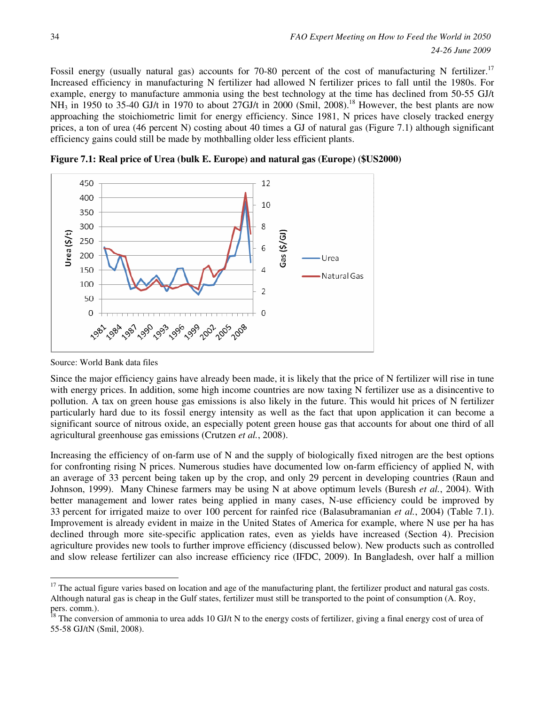Fossil energy (usually natural gas) accounts for 70-80 percent of the cost of manufacturing N fertilizer.<sup>17</sup> Increased efficiency in manufacturing N fertilizer had allowed N fertilizer prices to fall until the 1980s. For example, energy to manufacture ammonia using the best technology at the time has declined from 50-55 GJ/t  $NH_3$  in 1950 to 35-40 GJ/t in 1970 to about 27GJ/t in 2000 (Smil, 2008).<sup>18</sup> However, the best plants are now approaching the stoichiometric limit for energy efficiency. Since 1981, N prices have closely tracked energy prices, a ton of urea (46 percent N) costing about 40 times a GJ of natural gas (Figure 7.1) although significant efficiency gains could still be made by mothballing older less efficient plants.

450 12 400 10 350 300 8 Jrea (\$/t)  $\frac{1}{2}$ as (\$/GJ) 250 6 200 Urea 150 4 Natural Gas 100  $\overline{2}$ 50  $\overline{0}$  $\overline{0}$ . అసి<sub>. అశ్వ</sub>త్వత్వత్వత్వ అసి చేస్తుడ

**Figure 7.1: Real price of Urea (bulk E. Europe) and natural gas (Europe) (\$US2000)**

 $\overline{a}$ 

Since the major efficiency gains have already been made, it is likely that the price of N fertilizer will rise in tune with energy prices. In addition, some high income countries are now taxing N fertilizer use as a disincentive to pollution. A tax on green house gas emissions is also likely in the future. This would hit prices of N fertilizer particularly hard due to its fossil energy intensity as well as the fact that upon application it can become a significant source of nitrous oxide, an especially potent green house gas that accounts for about one third of all agricultural greenhouse gas emissions (Crutzen *et al.*, 2008).

Increasing the efficiency of on-farm use of N and the supply of biologically fixed nitrogen are the best options for confronting rising N prices. Numerous studies have documented low on-farm efficiency of applied N, with an average of 33 percent being taken up by the crop, and only 29 percent in developing countries (Raun and Johnson, 1999). Many Chinese farmers may be using N at above optimum levels (Buresh *et al.*, 2004). With better management and lower rates being applied in many cases, N-use efficiency could be improved by 33 percent for irrigated maize to over 100 percent for rainfed rice (Balasubramanian *et al.*, 2004) (Table 7.1). Improvement is already evident in maize in the United States of America for example, where N use per ha has declined through more site-specific application rates, even as yields have increased (Section 4). Precision agriculture provides new tools to further improve efficiency (discussed below). New products such as controlled and slow release fertilizer can also increase efficiency rice (IFDC, 2009). In Bangladesh, over half a million

Source: World Bank data files

<sup>&</sup>lt;sup>17</sup> The actual figure varies based on location and age of the manufacturing plant, the fertilizer product and natural gas costs. Although natural gas is cheap in the Gulf states, fertilizer must still be transported to the point of consumption (A. Roy, pers. comm.).

The conversion of ammonia to urea adds 10 GJ/t N to the energy costs of fertilizer, giving a final energy cost of urea of 55-58 GJ/tN (Smil, 2008).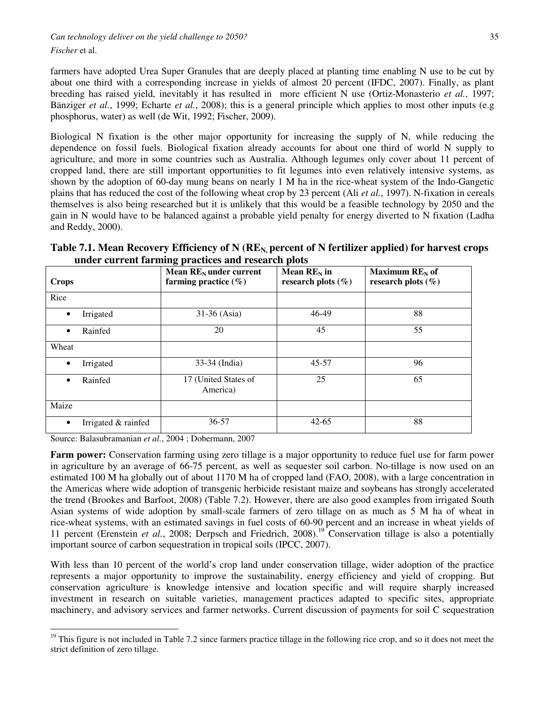*Fischer* et al.

farmers have adopted Urea Super Granules that are deeply placed at planting time enabling N use to be cut by about one third with a corresponding increase in yields of almost 20 percent (IFDC, 2007). Finally, as plant breeding has raised yield, inevitably it has resulted in more efficient N use (Ortiz-Monasterio *et al.*, 1997; Bänziger *et al.*, 1999; Echarte *et al.*, 2008); this is a general principle which applies to most other inputs (e.g phosphorus, water) as well (de Wit, 1992; Fischer, 2009).

Biological N fixation is the other major opportunity for increasing the supply of N, while reducing the dependence on fossil fuels. Biological fixation already accounts for about one third of world N supply to agriculture, and more in some countries such as Australia. Although legumes only cover about 11 percent of cropped land, there are still important opportunities to fit legumes into even relatively intensive systems, as shown by the adoption of 60-day mung beans on nearly 1 M ha in the rice-wheat system of the Indo-Gangetic plains that has reduced the cost of the following wheat crop by 23 percent (Ali *et al.*, 1997). N-fixation in cereals themselves is also being researched but it is unlikely that this would be a feasible technology by 2050 and the gain in N would have to be balanced against a probable yield penalty for energy diverted to N fixation (Ladha and Reddy, 2000).

| Table 7.1. Mean Recovery Efficiency of N ( $REN$ , percent of N fertilizer applied) for harvest crops |  |
|-------------------------------------------------------------------------------------------------------|--|
| under current farming practices and research plots                                                    |  |

| <b>Crops</b> |                     | o l<br>Mean $RE_N$ under current<br>farming practice $(\% )$ | Mean $RE_N$ in<br>research plots $(\% )$ | Maximum $RE_N$ of<br>research plots $(\% )$ |
|--------------|---------------------|--------------------------------------------------------------|------------------------------------------|---------------------------------------------|
| Rice         |                     |                                                              |                                          |                                             |
| $\bullet$    | Irrigated           | 31-36 (Asia)                                                 | 46-49                                    | 88                                          |
| ٠            | Rainfed             | 20                                                           | 45                                       | 55                                          |
| Wheat        |                     |                                                              |                                          |                                             |
| $\bullet$    | Irrigated           | 33-34 (India)                                                | $45 - 57$                                | 96                                          |
| ٠            | Rainfed             | 17 (United States of<br>America)                             | 25                                       | 65                                          |
| Maize        |                     |                                                              |                                          |                                             |
| $\bullet$    | Irrigated & rainfed | 36-57                                                        | $42 - 65$                                | 88                                          |

Source: Balasubramanian *et al.*, 2004 ; Dobermann, 2007

 $\overline{a}$ 

**Farm power:** Conservation farming using zero tillage is a major opportunity to reduce fuel use for farm power in agriculture by an average of 66-75 percent, as well as sequester soil carbon. No-tillage is now used on an estimated 100 M ha globally out of about 1170 M ha of cropped land (FAO, 2008), with a large concentration in the Americas where wide adoption of transgenic herbicide resistant maize and soybeans has strongly accelerated the trend (Brookes and Barfoot, 2008) (Table 7.2). However, there are also good examples from irrigated South Asian systems of wide adoption by small-scale farmers of zero tillage on as much as 5 M ha of wheat in rice-wheat systems, with an estimated savings in fuel costs of 60-90 percent and an increase in wheat yields of 11 percent (Erenstein *et al.*, 2008; Derpsch and Friedrich, 2008).<sup>19</sup> Conservation tillage is also a potentially important source of carbon sequestration in tropical soils (IPCC, 2007).

With less than 10 percent of the world's crop land under conservation tillage, wider adoption of the practice represents a major opportunity to improve the sustainability, energy efficiency and yield of cropping. But conservation agriculture is knowledge intensive and location specific and will require sharply increased investment in research on suitable varieties, management practices adapted to specific sites, appropriate machinery, and advisory services and farmer networks. Current discussion of payments for soil C sequestration

 $19$  This figure is not included in Table 7.2 since farmers practice tillage in the following rice crop, and so it does not meet the strict definition of zero tillage.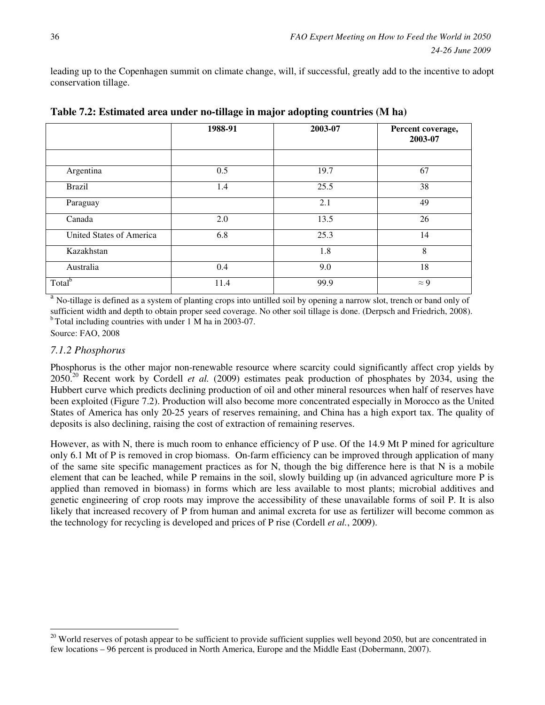leading up to the Copenhagen summit on climate change, will, if successful, greatly add to the incentive to adopt conservation tillage.

|                          | 1988-91 | 2003-07 | Percent coverage,<br>2003-07 |  |
|--------------------------|---------|---------|------------------------------|--|
|                          |         |         |                              |  |
| Argentina                | 0.5     | 19.7    | 67                           |  |
| <b>Brazil</b>            | 1.4     | 25.5    | 38                           |  |
| Paraguay                 |         | 2.1     | 49                           |  |
| Canada                   | 2.0     | 13.5    | 26                           |  |
| United States of America | 6.8     | 25.3    | 14                           |  |
| Kazakhstan               |         | 1.8     | 8                            |  |
| Australia                | 0.4     | 9.0     | 18                           |  |
| Total <sup>b</sup>       | 11.4    | 99.9    | $\approx 9$                  |  |

**Table 7.2: Estimated area under no-tillage in major adopting countries (M ha)** 

a No-tillage is defined as a system of planting crops into untilled soil by opening a narrow slot, trench or band only of sufficient width and depth to obtain proper seed coverage. No other soil tillage is done. (Derpsch and Friedrich, 2008).  $b$  Total including countries with under 1 M ha in 2003-07.

Source: FAO, 2008

 $\overline{a}$ 

#### *7.1.2 Phosphorus*

Phosphorus is the other major non-renewable resource where scarcity could significantly affect crop yields by 2050.<sup>20</sup> Recent work by Cordell *et al.* (2009) estimates peak production of phosphates by 2034, using the Hubbert curve which predicts declining production of oil and other mineral resources when half of reserves have been exploited (Figure 7.2). Production will also become more concentrated especially in Morocco as the United States of America has only 20-25 years of reserves remaining, and China has a high export tax. The quality of deposits is also declining, raising the cost of extraction of remaining reserves.

However, as with N, there is much room to enhance efficiency of P use. Of the 14.9 Mt P mined for agriculture only 6.1 Mt of P is removed in crop biomass. On-farm efficiency can be improved through application of many of the same site specific management practices as for N, though the big difference here is that N is a mobile element that can be leached, while P remains in the soil, slowly building up (in advanced agriculture more P is applied than removed in biomass) in forms which are less available to most plants; microbial additives and genetic engineering of crop roots may improve the accessibility of these unavailable forms of soil P. It is also likely that increased recovery of P from human and animal excreta for use as fertilizer will become common as the technology for recycling is developed and prices of P rise (Cordell *et al.*, 2009).

 $^{20}$  World reserves of potash appear to be sufficient to provide sufficient supplies well beyond 2050, but are concentrated in few locations – 96 percent is produced in North America, Europe and the Middle East (Dobermann, 2007).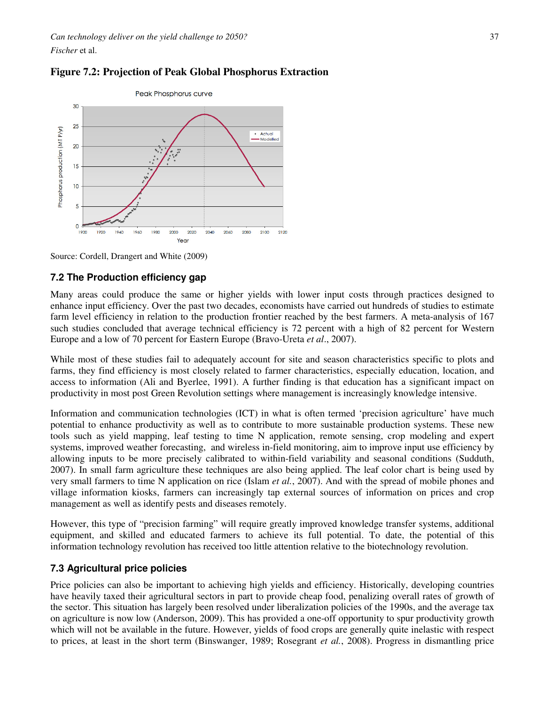

### **Figure 7.2: Projection of Peak Global Phosphorus Extraction**

Source: Cordell, Drangert and White (2009)

#### **7.2 The Production efficiency gap**

Many areas could produce the same or higher yields with lower input costs through practices designed to enhance input efficiency. Over the past two decades, economists have carried out hundreds of studies to estimate farm level efficiency in relation to the production frontier reached by the best farmers. A meta-analysis of 167 such studies concluded that average technical efficiency is 72 percent with a high of 82 percent for Western Europe and a low of 70 percent for Eastern Europe (Bravo-Ureta *et al*., 2007).

While most of these studies fail to adequately account for site and season characteristics specific to plots and farms, they find efficiency is most closely related to farmer characteristics, especially education, location, and access to information (Ali and Byerlee, 1991). A further finding is that education has a significant impact on productivity in most post Green Revolution settings where management is increasingly knowledge intensive.

Information and communication technologies (ICT) in what is often termed 'precision agriculture' have much potential to enhance productivity as well as to contribute to more sustainable production systems. These new tools such as yield mapping, leaf testing to time N application, remote sensing, crop modeling and expert systems, improved weather forecasting, and wireless in-field monitoring, aim to improve input use efficiency by allowing inputs to be more precisely calibrated to within-field variability and seasonal conditions (Sudduth, 2007). In small farm agriculture these techniques are also being applied. The leaf color chart is being used by very small farmers to time N application on rice (Islam *et al.*, 2007). And with the spread of mobile phones and village information kiosks, farmers can increasingly tap external sources of information on prices and crop management as well as identify pests and diseases remotely.

However, this type of "precision farming" will require greatly improved knowledge transfer systems, additional equipment, and skilled and educated farmers to achieve its full potential. To date, the potential of this information technology revolution has received too little attention relative to the biotechnology revolution.

## **7.3 Agricultural price policies**

Price policies can also be important to achieving high yields and efficiency. Historically, developing countries have heavily taxed their agricultural sectors in part to provide cheap food, penalizing overall rates of growth of the sector. This situation has largely been resolved under liberalization policies of the 1990s, and the average tax on agriculture is now low (Anderson, 2009). This has provided a one-off opportunity to spur productivity growth which will not be available in the future. However, yields of food crops are generally quite inelastic with respect to prices, at least in the short term (Binswanger, 1989; Rosegrant *et al.*, 2008). Progress in dismantling price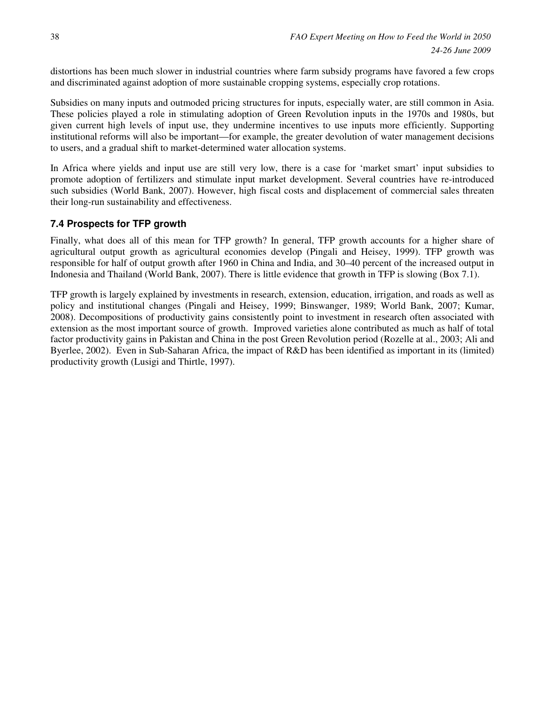distortions has been much slower in industrial countries where farm subsidy programs have favored a few crops and discriminated against adoption of more sustainable cropping systems, especially crop rotations.

Subsidies on many inputs and outmoded pricing structures for inputs, especially water, are still common in Asia. These policies played a role in stimulating adoption of Green Revolution inputs in the 1970s and 1980s, but given current high levels of input use, they undermine incentives to use inputs more efficiently. Supporting institutional reforms will also be important—for example, the greater devolution of water management decisions to users, and a gradual shift to market-determined water allocation systems.

In Africa where yields and input use are still very low, there is a case for 'market smart' input subsidies to promote adoption of fertilizers and stimulate input market development. Several countries have re-introduced such subsidies (World Bank, 2007). However, high fiscal costs and displacement of commercial sales threaten their long-run sustainability and effectiveness.

## **7.4 Prospects for TFP growth**

Finally, what does all of this mean for TFP growth? In general, TFP growth accounts for a higher share of agricultural output growth as agricultural economies develop (Pingali and Heisey, 1999). TFP growth was responsible for half of output growth after 1960 in China and India, and 30–40 percent of the increased output in Indonesia and Thailand (World Bank, 2007). There is little evidence that growth in TFP is slowing (Box 7.1).

TFP growth is largely explained by investments in research, extension, education, irrigation, and roads as well as policy and institutional changes (Pingali and Heisey, 1999; Binswanger, 1989; World Bank, 2007; Kumar, 2008). Decompositions of productivity gains consistently point to investment in research often associated with extension as the most important source of growth. Improved varieties alone contributed as much as half of total factor productivity gains in Pakistan and China in the post Green Revolution period (Rozelle at al., 2003; Ali and Byerlee, 2002). Even in Sub-Saharan Africa, the impact of R&D has been identified as important in its (limited) productivity growth (Lusigi and Thirtle, 1997).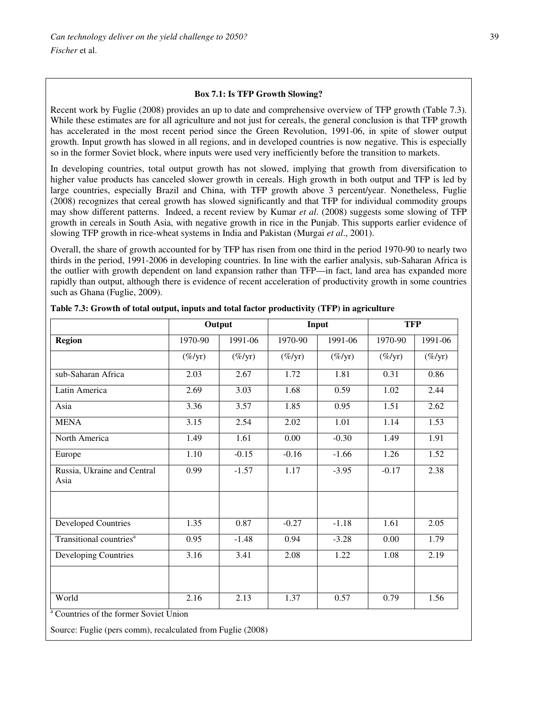#### **Box 7.1: Is TFP Growth Slowing?**

Recent work by Fuglie (2008) provides an up to date and comprehensive overview of TFP growth (Table 7.3). While these estimates are for all agriculture and not just for cereals, the general conclusion is that TFP growth has accelerated in the most recent period since the Green Revolution, 1991-06, in spite of slower output growth. Input growth has slowed in all regions, and in developed countries is now negative. This is especially so in the former Soviet block, where inputs were used very inefficiently before the transition to markets.

In developing countries, total output growth has not slowed, implying that growth from diversification to higher value products has canceled slower growth in cereals. High growth in both output and TFP is led by large countries, especially Brazil and China, with TFP growth above 3 percent/year. Nonetheless, Fuglie (2008) recognizes that cereal growth has slowed significantly and that TFP for individual commodity groups may show different patterns. Indeed, a recent review by Kumar *et al*. (2008) suggests some slowing of TFP growth in cereals in South Asia, with negative growth in rice in the Punjab. This supports earlier evidence of slowing TFP growth in rice-wheat systems in India and Pakistan (Murgai *et al*., 2001).

Overall, the share of growth accounted for by TFP has risen from one third in the period 1970-90 to nearly two thirds in the period, 1991-2006 in developing countries. In line with the earlier analysis, sub-Saharan Africa is the outlier with growth dependent on land expansion rather than TFP—in fact, land area has expanded more rapidly than output, although there is evidence of recent acceleration of productivity growth in some countries such as Ghana (Fuglie, 2009).

|                                     | Output             |            | Input              |            | <b>TFP</b> |            |
|-------------------------------------|--------------------|------------|--------------------|------------|------------|------------|
| <b>Region</b>                       | 1970-90            | 1991-06    | 1970-90            | 1991-06    | 1970-90    | 1991-06    |
|                                     | $(\%/\mathrm{yr})$ | $(\%$ /yr) | $(\%/\mathrm{yr})$ | $(\%$ /yr) | $(\%$ /yr) | $(\%$ /yr) |
| sub-Saharan Africa                  | 2.03               | 2.67       | 1.72               | 1.81       | 0.31       | 0.86       |
| Latin America                       | 2.69               | 3.03       | 1.68               | 0.59       | 1.02       | 2.44       |
| Asia                                | 3.36               | 3.57       | 1.85               | 0.95       | 1.51       | 2.62       |
| <b>MENA</b>                         | 3.15               | 2.54       | 2.02               | 1.01       | 1.14       | 1.53       |
| North America                       | 1.49               | 1.61       | 0.00               | $-0.30$    | 1.49       | 1.91       |
| Europe                              | 1.10               | $-0.15$    | $-0.16$            | $-1.66$    | 1.26       | 1.52       |
| Russia, Ukraine and Central<br>Asia | 0.99               | $-1.57$    | 1.17               | $-3.95$    | $-0.17$    | 2.38       |
| <b>Developed Countries</b>          | 1.35               | 0.87       | $-0.27$            | $-1.18$    | 1.61       | 2.05       |
| Transitional countries <sup>a</sup> | 0.95               | $-1.48$    | 0.94               | $-3.28$    | 0.00       | 1.79       |
| Developing Countries                | 3.16               | 3.41       | 2.08               | 1.22       | 1.08       | 2.19       |
|                                     | 2.16               | 2.13       | 1.37               | 0.57       | 0.79       | 1.56       |

**Table 7.3: Growth of total output, inputs and total factor productivity (TFP) in agriculture**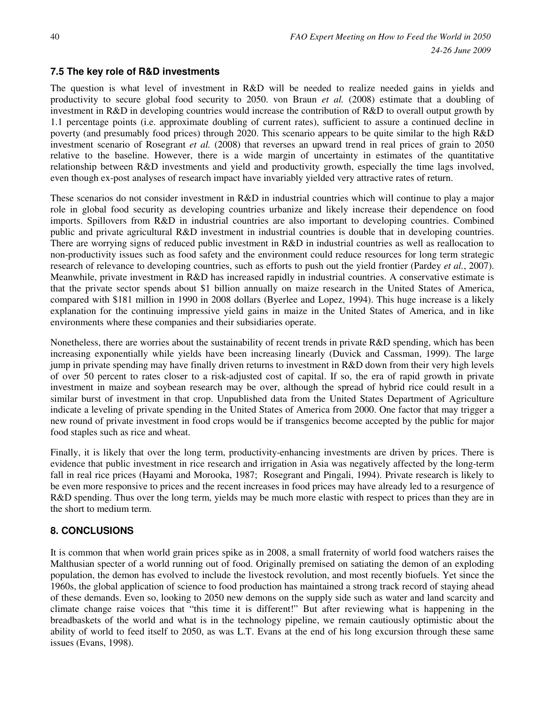## **7.5 The key role of R&D investments**

The question is what level of investment in R&D will be needed to realize needed gains in yields and productivity to secure global food security to 2050. von Braun *et al.* (2008) estimate that a doubling of investment in R&D in developing countries would increase the contribution of R&D to overall output growth by 1.1 percentage points (i.e. approximate doubling of current rates), sufficient to assure a continued decline in poverty (and presumably food prices) through 2020. This scenario appears to be quite similar to the high R&D investment scenario of Rosegrant *et al.* (2008) that reverses an upward trend in real prices of grain to 2050 relative to the baseline. However, there is a wide margin of uncertainty in estimates of the quantitative relationship between R&D investments and yield and productivity growth, especially the time lags involved, even though ex-post analyses of research impact have invariably yielded very attractive rates of return.

These scenarios do not consider investment in R&D in industrial countries which will continue to play a major role in global food security as developing countries urbanize and likely increase their dependence on food imports. Spillovers from R&D in industrial countries are also important to developing countries. Combined public and private agricultural R&D investment in industrial countries is double that in developing countries. There are worrying signs of reduced public investment in R&D in industrial countries as well as reallocation to non-productivity issues such as food safety and the environment could reduce resources for long term strategic research of relevance to developing countries, such as efforts to push out the yield frontier (Pardey *et al.*, 2007). Meanwhile, private investment in R&D has increased rapidly in industrial countries. A conservative estimate is that the private sector spends about \$1 billion annually on maize research in the United States of America, compared with \$181 million in 1990 in 2008 dollars (Byerlee and Lopez, 1994). This huge increase is a likely explanation for the continuing impressive yield gains in maize in the United States of America, and in like environments where these companies and their subsidiaries operate.

Nonetheless, there are worries about the sustainability of recent trends in private R&D spending, which has been increasing exponentially while yields have been increasing linearly (Duvick and Cassman, 1999). The large jump in private spending may have finally driven returns to investment in R&D down from their very high levels of over 50 percent to rates closer to a risk-adjusted cost of capital. If so, the era of rapid growth in private investment in maize and soybean research may be over, although the spread of hybrid rice could result in a similar burst of investment in that crop. Unpublished data from the United States Department of Agriculture indicate a leveling of private spending in the United States of America from 2000. One factor that may trigger a new round of private investment in food crops would be if transgenics become accepted by the public for major food staples such as rice and wheat.

Finally, it is likely that over the long term, productivity-enhancing investments are driven by prices. There is evidence that public investment in rice research and irrigation in Asia was negatively affected by the long-term fall in real rice prices (Hayami and Morooka, 1987; Rosegrant and Pingali, 1994). Private research is likely to be even more responsive to prices and the recent increases in food prices may have already led to a resurgence of R&D spending. Thus over the long term, yields may be much more elastic with respect to prices than they are in the short to medium term.

## **8. CONCLUSIONS**

It is common that when world grain prices spike as in 2008, a small fraternity of world food watchers raises the Malthusian specter of a world running out of food. Originally premised on satiating the demon of an exploding population, the demon has evolved to include the livestock revolution, and most recently biofuels. Yet since the 1960s, the global application of science to food production has maintained a strong track record of staying ahead of these demands. Even so, looking to 2050 new demons on the supply side such as water and land scarcity and climate change raise voices that "this time it is different!" But after reviewing what is happening in the breadbaskets of the world and what is in the technology pipeline, we remain cautiously optimistic about the ability of world to feed itself to 2050, as was L.T. Evans at the end of his long excursion through these same issues (Evans, 1998).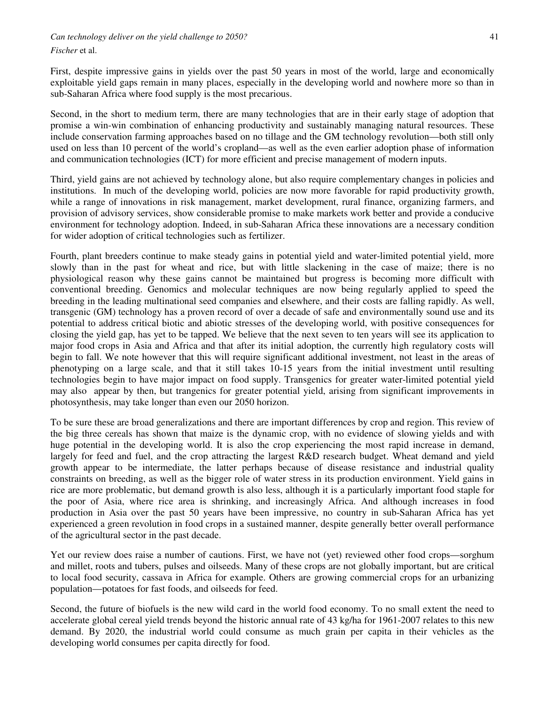*Can technology deliver on the yield challenge to 2050?* 41

*Fischer* et al.

First, despite impressive gains in yields over the past 50 years in most of the world, large and economically exploitable yield gaps remain in many places, especially in the developing world and nowhere more so than in sub-Saharan Africa where food supply is the most precarious.

Second, in the short to medium term, there are many technologies that are in their early stage of adoption that promise a win-win combination of enhancing productivity and sustainably managing natural resources. These include conservation farming approaches based on no tillage and the GM technology revolution—both still only used on less than 10 percent of the world's cropland—as well as the even earlier adoption phase of information and communication technologies (ICT) for more efficient and precise management of modern inputs.

Third, yield gains are not achieved by technology alone, but also require complementary changes in policies and institutions. In much of the developing world, policies are now more favorable for rapid productivity growth, while a range of innovations in risk management, market development, rural finance, organizing farmers, and provision of advisory services, show considerable promise to make markets work better and provide a conducive environment for technology adoption. Indeed, in sub-Saharan Africa these innovations are a necessary condition for wider adoption of critical technologies such as fertilizer.

Fourth, plant breeders continue to make steady gains in potential yield and water-limited potential yield, more slowly than in the past for wheat and rice, but with little slackening in the case of maize; there is no physiological reason why these gains cannot be maintained but progress is becoming more difficult with conventional breeding. Genomics and molecular techniques are now being regularly applied to speed the breeding in the leading multinational seed companies and elsewhere, and their costs are falling rapidly. As well, transgenic (GM) technology has a proven record of over a decade of safe and environmentally sound use and its potential to address critical biotic and abiotic stresses of the developing world, with positive consequences for closing the yield gap, has yet to be tapped. We believe that the next seven to ten years will see its application to major food crops in Asia and Africa and that after its initial adoption, the currently high regulatory costs will begin to fall. We note however that this will require significant additional investment, not least in the areas of phenotyping on a large scale, and that it still takes 10-15 years from the initial investment until resulting technologies begin to have major impact on food supply. Transgenics for greater water-limited potential yield may also appear by then, but trangenics for greater potential yield, arising from significant improvements in photosynthesis, may take longer than even our 2050 horizon.

To be sure these are broad generalizations and there are important differences by crop and region. This review of the big three cereals has shown that maize is the dynamic crop, with no evidence of slowing yields and with huge potential in the developing world. It is also the crop experiencing the most rapid increase in demand, largely for feed and fuel, and the crop attracting the largest R&D research budget. Wheat demand and yield growth appear to be intermediate, the latter perhaps because of disease resistance and industrial quality constraints on breeding, as well as the bigger role of water stress in its production environment. Yield gains in rice are more problematic, but demand growth is also less, although it is a particularly important food staple for the poor of Asia, where rice area is shrinking, and increasingly Africa. And although increases in food production in Asia over the past 50 years have been impressive, no country in sub-Saharan Africa has yet experienced a green revolution in food crops in a sustained manner, despite generally better overall performance of the agricultural sector in the past decade.

Yet our review does raise a number of cautions. First, we have not (yet) reviewed other food crops—sorghum and millet, roots and tubers, pulses and oilseeds. Many of these crops are not globally important, but are critical to local food security, cassava in Africa for example. Others are growing commercial crops for an urbanizing population—potatoes for fast foods, and oilseeds for feed.

Second, the future of biofuels is the new wild card in the world food economy. To no small extent the need to accelerate global cereal yield trends beyond the historic annual rate of 43 kg/ha for 1961-2007 relates to this new demand. By 2020, the industrial world could consume as much grain per capita in their vehicles as the developing world consumes per capita directly for food.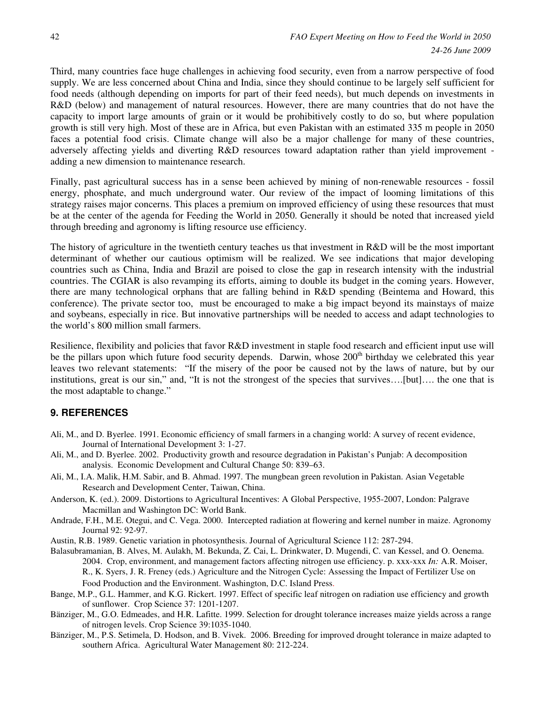Third, many countries face huge challenges in achieving food security, even from a narrow perspective of food supply. We are less concerned about China and India, since they should continue to be largely self sufficient for food needs (although depending on imports for part of their feed needs), but much depends on investments in R&D (below) and management of natural resources. However, there are many countries that do not have the capacity to import large amounts of grain or it would be prohibitively costly to do so, but where population growth is still very high. Most of these are in Africa, but even Pakistan with an estimated 335 m people in 2050 faces a potential food crisis. Climate change will also be a major challenge for many of these countries, adversely affecting yields and diverting R&D resources toward adaptation rather than yield improvement adding a new dimension to maintenance research.

Finally, past agricultural success has in a sense been achieved by mining of non-renewable resources - fossil energy, phosphate, and much underground water. Our review of the impact of looming limitations of this strategy raises major concerns. This places a premium on improved efficiency of using these resources that must be at the center of the agenda for Feeding the World in 2050. Generally it should be noted that increased yield through breeding and agronomy is lifting resource use efficiency.

The history of agriculture in the twentieth century teaches us that investment in R&D will be the most important determinant of whether our cautious optimism will be realized. We see indications that major developing countries such as China, India and Brazil are poised to close the gap in research intensity with the industrial countries. The CGIAR is also revamping its efforts, aiming to double its budget in the coming years. However, there are many technological orphans that are falling behind in R&D spending (Beintema and Howard, this conference). The private sector too, must be encouraged to make a big impact beyond its mainstays of maize and soybeans, especially in rice. But innovative partnerships will be needed to access and adapt technologies to the world's 800 million small farmers.

Resilience, flexibility and policies that favor R&D investment in staple food research and efficient input use will be the pillars upon which future food security depends. Darwin, whose 200<sup>th</sup> birthday we celebrated this year leaves two relevant statements: "If the misery of the poor be caused not by the laws of nature, but by our institutions, great is our sin," and, "It is not the strongest of the species that survives….[but]…. the one that is the most adaptable to change."

#### **9. REFERENCES**

- Ali, M., and D. Byerlee. 1991. Economic efficiency of small farmers in a changing world: A survey of recent evidence, Journal of International Development 3: 1-27.
- Ali, M., and D. Byerlee. 2002. Productivity growth and resource degradation in Pakistan's Punjab: A decomposition analysis. Economic Development and Cultural Change 50: 839–63.
- Ali, M., I.A. Malik, H.M. Sabir, and B. Ahmad. 1997. The mungbean green revolution in Pakistan. Asian Vegetable Research and Development Center, Taiwan, China.
- Anderson, K. (ed.). 2009. Distortions to Agricultural Incentives: A Global Perspective, 1955-2007, London: Palgrave Macmillan and Washington DC: World Bank.
- Andrade, F.H., M.E. Otegui, and C. Vega. 2000. Intercepted radiation at flowering and kernel number in maize. Agronomy Journal 92: 92-97.
- Austin, R.B. 1989. Genetic variation in photosynthesis. Journal of Agricultural Science 112: 287-294.
- Balasubramanian, B. Alves, M. Aulakh, M. Bekunda, Z. Cai, L. Drinkwater, D. Mugendi, C. van Kessel, and O. Oenema. 2004. Crop, environment, and management factors affecting nitrogen use efficiency. p. xxx-xxx *In:* A.R. Moiser, R., K. Syers, J. R. Freney (eds.) Agriculture and the Nitrogen Cycle: Assessing the Impact of Fertilizer Use on Food Production and the Environment. Washington, D.C. Island Press.
- Bange, M.P., G.L. Hammer, and K.G. Rickert. 1997. Effect of specific leaf nitrogen on radiation use efficiency and growth of sunflower. Crop Science 37: 1201-1207.
- Bänziger, M., G.O. Edmeades, and H.R. Lafitte. 1999. Selection for drought tolerance increases maize yields across a range of nitrogen levels. Crop Science 39:1035-1040.
- Bänziger, M., P.S. Setimela, D. Hodson, and B. Vivek. 2006. Breeding for improved drought tolerance in maize adapted to southern Africa. Agricultural Water Management 80: 212-224.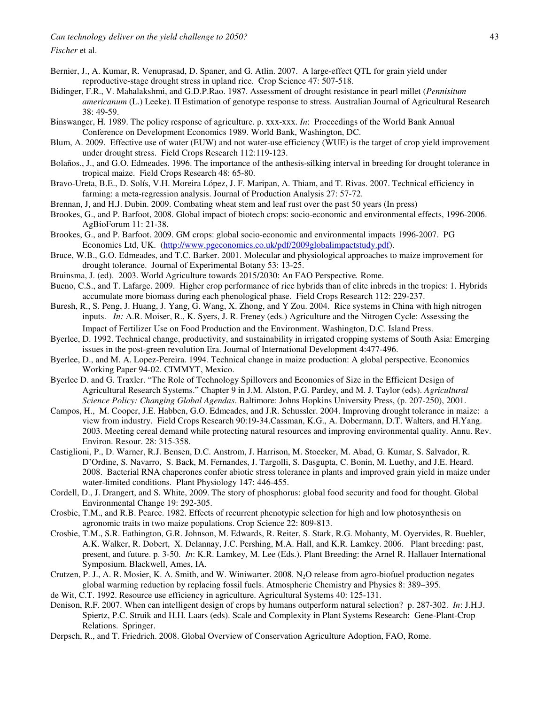- Bernier, J., A. Kumar, R. Venuprasad, D. Spaner, and G. Atlin. 2007. A large-effect QTL for grain yield under reproductive-stage drought stress in upland rice. Crop Science 47: 507-518.
- Bidinger, F.R., V. Mahalakshmi, and G.D.P.Rao. 1987. Assessment of drought resistance in pearl millet (*Pennisitum americanum* (L.) Leeke). II Estimation of genotype response to stress. Australian Journal of Agricultural Research 38: 49-59.
- Binswanger, H. 1989. The policy response of agriculture. p. xxx-xxx. *In*: Proceedings of the World Bank Annual Conference on Development Economics 1989. World Bank, Washington, DC.
- Blum, A. 2009. Effective use of water (EUW) and not water-use efficiency (WUE) is the target of crop yield improvement under drought stress. Field Crops Research 112:119-123.
- Bolaños., J., and G.O. Edmeades. 1996. The importance of the anthesis-silking interval in breeding for drought tolerance in tropical maize. Field Crops Research 48: 65-80.
- Bravo-Ureta, B.E., D. Solís, V.H. Moreira López, J. F. Maripan, A. Thiam, and T. Rivas. 2007. Technical efficiency in farming: a meta-regression analysis. Journal of Production Analysis 27: 57-72.
- Brennan, J, and H.J. Dubin. 2009. Combating wheat stem and leaf rust over the past 50 years (In press)
- Brookes, G., and P. Barfoot, 2008. Global impact of biotech crops: socio-economic and environmental effects, 1996-2006. AgBioForum 11: 21-38.
- Brookes, G., and P. Barfoot. 2009. GM crops: global socio-economic and environmental impacts 1996-2007. PG Economics Ltd, UK. (http://www.pgeconomics.co.uk/pdf/2009globalimpactstudy.pdf).
- Bruce, W.B., G.O. Edmeades, and T.C. Barker. 2001. Molecular and physiological approaches to maize improvement for drought tolerance. Journal of Experimental Botany 53: 13-25.
- Bruinsma, J. (ed). 2003. World Agriculture towards 2015/2030: An FAO Perspective*.* Rome.
- Bueno, C.S., and T. Lafarge. 2009. Higher crop performance of rice hybrids than of elite inbreds in the tropics: 1. Hybrids accumulate more biomass during each phenological phase. Field Crops Research 112: 229-237.
- Buresh, R., S. Peng, J. Huang, J. Yang, G. Wang, X. Zhong, and Y Zou. 2004. Rice systems in China with high nitrogen inputs. *In:* A.R. Moiser, R., K. Syers, J. R. Freney (eds.) Agriculture and the Nitrogen Cycle: Assessing the Impact of Fertilizer Use on Food Production and the Environment. Washington, D.C. Island Press.
- Byerlee, D. 1992. Technical change, productivity, and sustainability in irrigated cropping systems of South Asia: Emerging issues in the post-green revolution Era. Journal of International Development 4:477-496.
- Byerlee, D., and M. A. Lopez-Pereira. 1994. Technical change in maize production: A global perspective. Economics Working Paper 94-02. CIMMYT, Mexico.
- Byerlee D. and G. Traxler. "The Role of Technology Spillovers and Economies of Size in the Efficient Design of Agricultural Research Systems." Chapter 9 in J.M. Alston, P.G. Pardey, and M. J. Taylor (eds). *Agricultural Science Policy: Changing Global Agendas*. Baltimore: Johns Hopkins University Press, (p. 207-250), 2001.
- Campos, H., M. Cooper, J.E. Habben, G.O. Edmeades, and J.R. Schussler. 2004. Improving drought tolerance in maize: a view from industry. Field Crops Research 90:19-34.Cassman, K.G., A. Dobermann, D.T. Walters, and H.Yang. 2003. Meeting cereal demand while protecting natural resources and improving environmental quality. Annu. Rev. Environ. Resour. 28: 315-358.
- Castiglioni, P., D. Warner, R.J. Bensen, D.C. Anstrom, J. Harrison, M. Stoecker, M. Abad, G. Kumar, S. Salvador, R. D'Ordine, S. Navarro, S. Back, M. Fernandes, J. Targolli, S. Dasgupta, C. Bonin, M. Luethy, and J.E. Heard. 2008. Bacterial RNA chaperones confer abiotic stress tolerance in plants and improved grain yield in maize under water-limited conditions. Plant Physiology 147: 446-455.
- Cordell, D., J. Drangert, and S. White, 2009. The story of phosphorus: global food security and food for thought. Global Environmental Change 19: 292-305.
- Crosbie, T.M., and R.B. Pearce. 1982. Effects of recurrent phenotypic selection for high and low photosynthesis on agronomic traits in two maize populations. Crop Science 22: 809-813.
- Crosbie, T.M., S.R. Eathington, G.R. Johnson, M. Edwards, R. Reiter, S. Stark, R.G. Mohanty, M. Oyervides, R. Buehler, A.K. Walker, R. Dobert, X. Delannay, J.C. Pershing, M.A. Hall, and K.R. Lamkey. 2006. Plant breeding: past, present, and future. p. 3-50. *In*: K.R. Lamkey, M. Lee (Eds.). Plant Breeding: the Arnel R. Hallauer International Symposium. Blackwell, Ames, IA.
- Crutzen, P. J., A. R. Mosier, K. A. Smith, and W. Winiwarter. 2008. N<sub>2</sub>O release from agro-biofuel production negates global warming reduction by replacing fossil fuels. Atmospheric Chemistry and Physics 8: 389–395.
- de Wit, C.T. 1992. Resource use efficiency in agriculture. Agricultural Systems 40: 125-131.
- Denison, R.F. 2007. When can intelligent design of crops by humans outperform natural selection? p. 287-302. *In*: J.H.J. Spiertz, P.C. Struik and H.H. Laars (eds). Scale and Complexity in Plant Systems Research: Gene-Plant-Crop Relations. Springer.
- Derpsch, R., and T. Friedrich. 2008. Global Overview of Conservation Agriculture Adoption, FAO, Rome.

*Fischer* et al.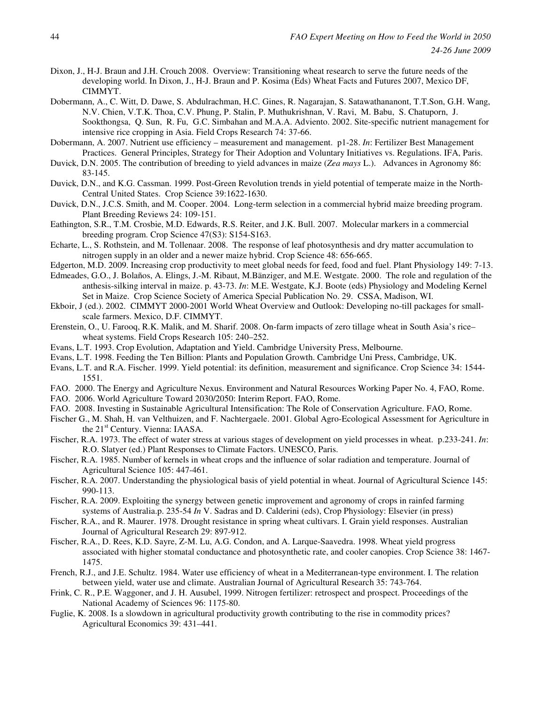- Dixon, J., H-J. Braun and J.H. Crouch 2008. Overview: Transitioning wheat research to serve the future needs of the developing world. In Dixon, J., H-J. Braun and P. Kosima (Eds) Wheat Facts and Futures 2007, Mexico DF, CIMMYT.
- Dobermann, A., C. Witt, D. Dawe, S. Abdulrachman, H.C. Gines, R. Nagarajan, S. Satawathananont, T.T.Son, G.H. Wang, N.V. Chien, V.T.K. Thoa, C.V. Phung, P. Stalin, P. Muthukrishnan, V. Ravi, M. Babu, S. Chatuporn, J. Sookthongsa, Q. Sun, R. Fu, G.C. Simbahan and M.A.A. Adviento. 2002. Site-specific nutrient management for intensive rice cropping in Asia. Field Crops Research 74: 37-66.
- Dobermann, A. 2007. Nutrient use efficiency measurement and management. p1-28. *In*: Fertilizer Best Management Practices. General Principles, Strategy for Their Adoption and Voluntary Initiatives vs. Regulations. IFA, Paris.
- Duvick, D.N. 2005. The contribution of breeding to yield advances in maize (*Zea mays* L.). Advances in Agronomy 86: 83-145.
- Duvick, D.N., and K.G. Cassman. 1999. Post-Green Revolution trends in yield potential of temperate maize in the North-Central United States. Crop Science 39:1622-1630.
- Duvick, D.N., J.C.S. Smith, and M. Cooper. 2004. Long-term selection in a commercial hybrid maize breeding program. Plant Breeding Reviews 24: 109-151.
- Eathington, S.R., T.M. Crosbie, M.D. Edwards, R.S. Reiter, and J.K. Bull. 2007. Molecular markers in a commercial breeding program. Crop Science 47(S3): S154-S163.
- Echarte, L., S. Rothstein, and M. Tollenaar. 2008. The response of leaf photosynthesis and dry matter accumulation to nitrogen supply in an older and a newer maize hybrid. Crop Science 48: 656-665.
- Edgerton, M.D. 2009. Increasing crop productivity to meet global needs for feed, food and fuel. Plant Physiology 149: 7-13.
- Edmeades, G.O., J. Bolaños, A. Elings, J.-M. Ribaut, M.Bänziger, and M.E. Westgate. 2000. The role and regulation of the anthesis-silking interval in maize. p. 43-73. *In*: M.E. Westgate, K.J. Boote (eds) Physiology and Modeling Kernel Set in Maize. Crop Science Society of America Special Publication No. 29. CSSA, Madison, WI.
- Ekboir, J (ed.). 2002. CIMMYT 2000-2001 World Wheat Overview and Outlook: Developing no-till packages for smallscale farmers. Mexico, D.F. CIMMYT.
- Erenstein, O., U. Farooq, R.K. Malik, and M. Sharif. 2008. On-farm impacts of zero tillage wheat in South Asia's rice– wheat systems. Field Crops Research 105: 240–252.
- Evans, L.T. 1993. Crop Evolution, Adaptation and Yield. Cambridge University Press, Melbourne.
- Evans, L.T. 1998. Feeding the Ten Billion: Plants and Population Growth. Cambridge Uni Press, Cambridge, UK.
- Evans, L.T. and R.A. Fischer. 1999. Yield potential: its definition, measurement and significance. Crop Science 34: 1544- 1551.
- FAO. 2000. The Energy and Agriculture Nexus. Environment and Natural Resources Working Paper No. 4, FAO, Rome.
- FAO. 2006. World Agriculture Toward 2030/2050: Interim Report. FAO, Rome.
- FAO. 2008. Investing in Sustainable Agricultural Intensification: The Role of Conservation Agriculture. FAO, Rome.
- Fischer G., M. Shah, H. van Velthuizen, and F. Nachtergaele. 2001. Global Agro-Ecological Assessment for Agriculture in the 21<sup>st</sup> Century. Vienna: IAASA.
- Fischer, R.A. 1973. The effect of water stress at various stages of development on yield processes in wheat. p.233-241. *In*: R.O. Slatyer (ed.) Plant Responses to Climate Factors. UNESCO, Paris.
- Fischer, R.A. 1985. Number of kernels in wheat crops and the influence of solar radiation and temperature. Journal of Agricultural Science 105: 447-461.
- Fischer, R.A. 2007. Understanding the physiological basis of yield potential in wheat. Journal of Agricultural Science 145: 990-113.
- Fischer, R.A. 2009. Exploiting the synergy between genetic improvement and agronomy of crops in rainfed farming systems of Australia.p. 235-54 *In* V. Sadras and D. Calderini (eds), Crop Physiology: Elsevier (in press)
- Fischer, R.A., and R. Maurer. 1978. Drought resistance in spring wheat cultivars. I. Grain yield responses. Australian Journal of Agricultural Research 29: 897-912.
- Fischer, R.A., D. Rees, K.D. Sayre, Z-M. Lu, A.G. Condon, and A. Larque-Saavedra. 1998. Wheat yield progress associated with higher stomatal conductance and photosynthetic rate, and cooler canopies. Crop Science 38: 1467- 1475.
- French, R.J., and J.E. Schultz. 1984. Water use efficiency of wheat in a Mediterranean-type environment. I. The relation between yield, water use and climate. Australian Journal of Agricultural Research 35: 743-764.
- Frink, C. R., P.E. Waggoner, and J. H. Ausubel, 1999. Nitrogen fertilizer: retrospect and prospect. Proceedings of the National Academy of Sciences 96: 1175-80.
- Fuglie, K. 2008. Is a slowdown in agricultural productivity growth contributing to the rise in commodity prices? Agricultural Economics 39: 431–441.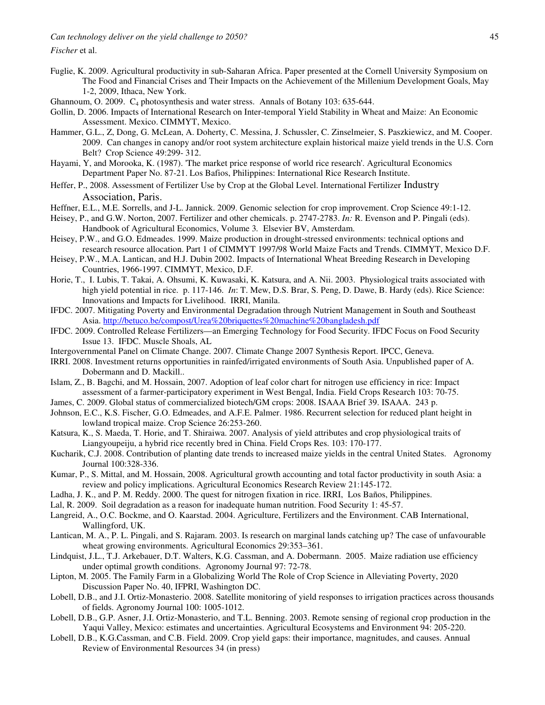*Fischer* et al.

- Fuglie, K. 2009. Agricultural productivity in sub-Saharan Africa. Paper presented at the Cornell University Symposium on The Food and Financial Crises and Their Impacts on the Achievement of the Millenium Development Goals, May 1-2, 2009, Ithaca, New York.
- Ghannoum, O. 2009. C4 photosynthesis and water stress. Annals of Botany 103: 635-644.
- Gollin, D. 2006. Impacts of International Research on Inter-temporal Yield Stability in Wheat and Maize: An Economic Assessment. Mexico. CIMMYT, Mexico.
- Hammer, G.L., Z, Dong, G. McLean, A. Doherty, C. Messina, J. Schussler, C. Zinselmeier, S. Paszkiewicz, and M. Cooper. 2009. Can changes in canopy and/or root system architecture explain historical maize yield trends in the U.S. Corn Belt? Crop Science 49:299- 312.
- Hayami, Y, and Morooka, K. (1987). 'The market price response of world rice research'. Agricultural Economics Department Paper No. 87-21. Los Bafios, Philippines: International Rice Research Institute.
- Heffer, P., 2008. Assessment of Fertilizer Use by Crop at the Global Level. International Fertilizer Industry Association, Paris.
- Heffner, E.L., M.E. Sorrells, and J-L. Jannick. 2009. Genomic selection for crop improvement. Crop Science 49:1-12.

Heisey, P., and G.W. Norton, 2007. Fertilizer and other chemicals. p. 2747-2783. *In:* R. Evenson and P. Pingali (eds). Handbook of Agricultural Economics, Volume 3*.* Elsevier BV, Amsterdam.

- Heisey, P.W., and G.O. Edmeades. 1999. Maize production in drought-stressed environments: technical options and research resource allocation. Part 1 of CIMMYT 1997/98 World Maize Facts and Trends. CIMMYT, Mexico D.F.
- Heisey, P.W., M.A. Lantican, and H.J. Dubin 2002. Impacts of International Wheat Breeding Research in Developing Countries, 1966-1997. CIMMYT, Mexico, D.F.
- Horie, T., I. Lubis, T. Takai, A. Ohsumi, K. Kuwasaki, K. Katsura, and A. Nii. 2003. Physiological traits associated with high yield potential in rice. p. 117-146. *In*: T. Mew, D.S. Brar, S. Peng, D. Dawe, B. Hardy (eds). Rice Science: Innovations and Impacts for Livelihood. IRRI, Manila.
- IFDC. 2007. Mitigating Poverty and Environmental Degradation through Nutrient Management in South and Southeast Asia. http://betuco.be/compost/Urea%20briquettes%20machine%20bangladesh.pdf
- IFDC. 2009. Controlled Release Fertilizers—an Emerging Technology for Food Security. IFDC Focus on Food Security Issue 13. IFDC. Muscle Shoals, AL
- Intergovernmental Panel on Climate Change. 2007*.* Climate Change 2007 Synthesis Report. IPCC, Geneva.
- IRRI. 2008. Investment returns opportunities in rainfed/irrigated environments of South Asia. Unpublished paper of A. Dobermann and D. Mackill..
- Islam, Z., B. Bagchi, and M. Hossain, 2007. Adoption of leaf color chart for nitrogen use efficiency in rice: Impact assessment of a farmer-participatory experiment in West Bengal, India. Field Crops Research 103: 70-75.
- James, C. 2009. Global status of commercialized biotech/GM crops: 2008. ISAAA Brief 39. ISAAA. 243 p.
- Johnson, E.C., K.S. Fischer, G.O. Edmeades, and A.F.E. Palmer. 1986. Recurrent selection for reduced plant height in lowland tropical maize. Crop Science 26:253-260.
- Katsura, K., S. Maeda, T. Horie, and T. Shiraiwa. 2007. Analysis of yield attributes and crop physiological traits of Liangyoupeiju, a hybrid rice recently bred in China. Field Crops Res. 103: 170-177.
- Kucharik, C.J. 2008. Contribution of planting date trends to increased maize yields in the central United States. Agronomy Journal 100:328-336.
- Kumar, P., S. Mittal, and M. Hossain, 2008. Agricultural growth accounting and total factor productivity in south Asia: a review and policy implications. Agricultural Economics Research Review 21:145-172.
- Ladha, J. K., and P. M. Reddy. 2000. The quest for nitrogen fixation in rice. IRRI, Los Baños, Philippines.
- Lal, R. 2009. Soil degradation as a reason for inadequate human nutrition. Food Security 1: 45-57.
- Langreid, A., O.C. Bockme, and O. Kaarstad. 2004. Agriculture, Fertilizers and the Environment. CAB International, Wallingford, UK.
- Lantican, M. A., P. L. Pingali, and S. Rajaram. 2003. Is research on marginal lands catching up? The case of unfavourable wheat growing environments. Agricultural Economics 29:353–361.
- Lindquist, J.L., T.J. Arkebauer, D.T. Walters, K.G. Cassman, and A. Dobermann. 2005. Maize radiation use efficiency under optimal growth conditions. Agronomy Journal 97: 72-78.
- Lipton, M. 2005. The Family Farm in a Globalizing World The Role of Crop Science in Alleviating Poverty, 2020 Discussion Paper No. 40, IFPRI, Washington DC.
- Lobell, D.B., and J.I. Ortiz-Monasterio. 2008. Satellite monitoring of yield responses to irrigation practices across thousands of fields. Agronomy Journal 100: 1005-1012.
- Lobell, D.B., G.P. Asner, J.I. Ortiz-Monasterio, and T.L. Benning. 2003. Remote sensing of regional crop production in the Yaqui Valley, Mexico: estimates and uncertainties. Agricultural Ecosystems and Environment 94: 205-220.
- Lobell, D.B., K.G.Cassman, and C.B. Field. 2009. Crop yield gaps: their importance, magnitudes, and causes. Annual Review of Environmental Resources 34 (in press)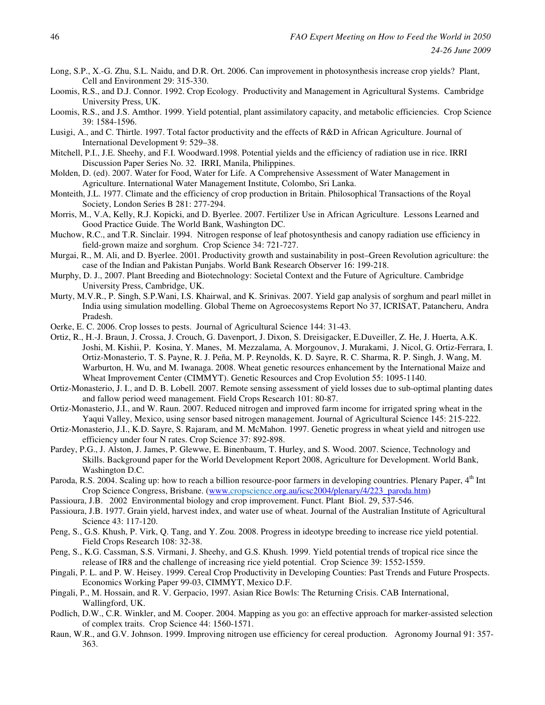- Long, S.P., X.-G. Zhu, S.L. Naidu, and D.R. Ort. 2006. Can improvement in photosynthesis increase crop yields? Plant, Cell and Environment 29: 315-330.
- Loomis, R.S., and D.J. Connor. 1992. Crop Ecology. Productivity and Management in Agricultural Systems. Cambridge University Press, UK.
- Loomis, R.S., and J.S. Amthor. 1999. Yield potential, plant assimilatory capacity, and metabolic efficiencies. Crop Science 39: 1584-1596.
- Lusigi, A., and C. Thirtle. 1997. Total factor productivity and the effects of R&D in African Agriculture. Journal of International Development 9: 529–38.
- Mitchell, P.I., J.E. Sheehy, and F.I. Woodward.1998. Potential yields and the efficiency of radiation use in rice. IRRI Discussion Paper Series No. 32. IRRI, Manila, Philippines.
- Molden, D. (ed). 2007. Water for Food, Water for Life. A Comprehensive Assessment of Water Management in Agriculture. International Water Management Institute, Colombo, Sri Lanka.
- Monteith, J.L. 1977. Climate and the efficiency of crop production in Britain. Philosophical Transactions of the Royal Society, London Series B 281: 277-294.
- Morris, M., V.A, Kelly, R.J. Kopicki, and D. Byerlee. 2007. Fertilizer Use in African Agriculture. Lessons Learned and Good Practice Guide. The World Bank, Washington DC.
- Muchow, R.C., and T.R. Sinclair. 1994. Nitrogen response of leaf photosynthesis and canopy radiation use efficiency in field-grown maize and sorghum. Crop Science 34: 721-727.
- Murgai, R., M. Ali, and D. Byerlee. 2001. Productivity growth and sustainability in post–Green Revolution agriculture: the case of the Indian and Pakistan Punjabs. World Bank Research Observer 16: 199-218.
- Murphy, D. J., 2007. Plant Breeding and Biotechnology: Societal Context and the Future of Agriculture. Cambridge University Press, Cambridge, UK.
- Murty, M.V.R., P. Singh, S.P.Wani, I.S. Khairwal, and K. Srinivas. 2007. Yield gap analysis of sorghum and pearl millet in India using simulation modelling. Global Theme on Agroecosystems Report No 37, ICRISAT, Patancheru, Andra Pradesh.
- Oerke, E. C. 2006. Crop losses to pests. Journal of Agricultural Science 144: 31-43.
- Ortiz, R., H.-J. Braun, J. Crossa, J. Crouch, G. Davenport, J. Dixon, S. Dreisigacker, E.Duveiller, Z. He, J. Huerta, A.K. Joshi, M. Kishii, P. Kosina, Y. Manes, M. Mezzalama, A. Morgounov, J. Murakami, J. Nicol, G. Ortiz-Ferrara, I. Ortiz-Monasterio, T. S. Payne, R. J. Peña, M. P. Reynolds, K. D. Sayre, R. C. Sharma, R. P. Singh, J. Wang, M. Warburton, H. Wu, and M. Iwanaga. 2008. Wheat genetic resources enhancement by the International Maize and Wheat Improvement Center (CIMMYT). Genetic Resources and Crop Evolution 55: 1095-1140.
- Ortiz-Monasterio, J. I., and D. B. Lobell. 2007. Remote sensing assessment of yield losses due to sub-optimal planting dates and fallow period weed management. Field Crops Research 101: 80-87.
- Ortiz-Monasterio, J.I., and W. Raun. 2007. Reduced nitrogen and improved farm income for irrigated spring wheat in the Yaqui Valley, Mexico, using sensor based nitrogen management. Journal of Agricultural Science 145: 215-222.
- Ortiz-Monasterio, J.I., K.D. Sayre, S. Rajaram, and M. McMahon. 1997. Genetic progress in wheat yield and nitrogen use efficiency under four N rates. Crop Science 37: 892-898.
- Pardey, P.G., J. Alston, J. James, P. Glewwe, E. Binenbaum, T. Hurley, and S. Wood. 2007. Science, Technology and Skills. Background paper for the World Development Report 2008, Agriculture for Development. World Bank, Washington D.C.
- Paroda, R.S. 2004. Scaling up: how to reach a billion resource-poor farmers in developing countries. Plenary Paper, 4<sup>th</sup> Int Crop Science Congress, Brisbane. (www.cropscience.org.au/icsc2004/plenary/4/223\_paroda.htm)
- Passioura, J.B. 2002 Environmental biology and crop improvement. Funct. Plant Biol. 29, 537-546.
- Passioura, J.B. 1977. Grain yield, harvest index, and water use of wheat. Journal of the Australian Institute of Agricultural Science 43: 117-120.
- Peng, S., G.S. Khush, P. Virk, Q. Tang, and Y. Zou. 2008. Progress in ideotype breeding to increase rice yield potential. Field Crops Research 108: 32-38.
- Peng, S., K.G. Cassman, S.S. Virmani, J. Sheehy, and G.S. Khush. 1999. Yield potential trends of tropical rice since the release of IR8 and the challenge of increasing rice yield potential. Crop Science 39: 1552-1559.
- Pingali, P. L. and P. W. Heisey. 1999. Cereal Crop Productivity in Developing Counties: Past Trends and Future Prospects. Economics Working Paper 99-03, CIMMYT, Mexico D.F.
- Pingali, P., M. Hossain, and R. V. Gerpacio, 1997. Asian Rice Bowls: The Returning Crisis. CAB International, Wallingford, UK.
- Podlich, D.W., C.R. Winkler, and M. Cooper. 2004. Mapping as you go: an effective approach for marker-assisted selection of complex traits. Crop Science 44: 1560-1571.
- Raun, W.R., and G.V. Johnson. 1999. Improving nitrogen use efficiency for cereal production. Agronomy Journal 91: 357- 363.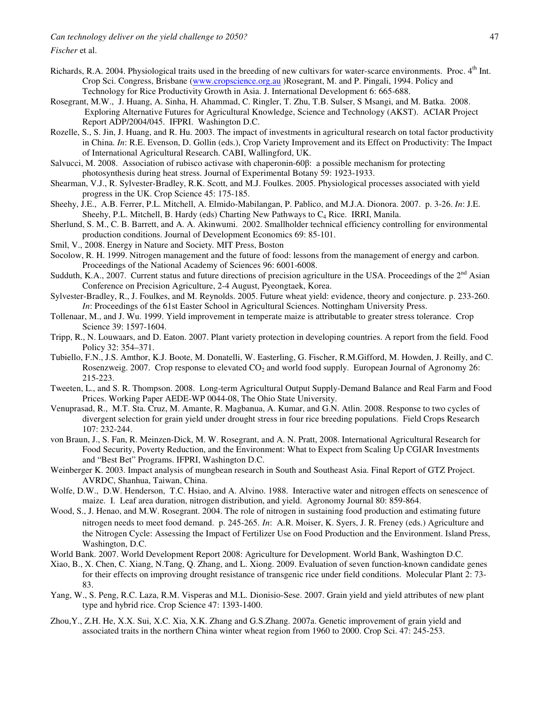*Fischer* et al.

- Richards, R.A. 2004. Physiological traits used in the breeding of new cultivars for water-scarce environments. Proc. 4<sup>th</sup> Int. Crop Sci. Congress, Brisbane (www.cropscience.org.au )Rosegrant, M. and P. Pingali, 1994. Policy and Technology for Rice Productivity Growth in Asia. J. International Development 6: 665-688.
- Rosegrant, M.W., J. Huang, A. Sinha, H. Ahammad, C. Ringler, T. Zhu, T.B. Sulser, S Msangi, and M. Batka. 2008. Exploring Alternative Futures for Agricultural Knowledge, Science and Technology (AKST). ACIAR Project Report ADP/2004/045. IFPRI. Washington D.C.
- Rozelle, S., S. Jin, J. Huang, and R. Hu. 2003. The impact of investments in agricultural research on total factor productivity in China. *In*: R.E. Evenson, D. Gollin (eds.), Crop Variety Improvement and its Effect on Productivity: The Impact of International Agricultural Research. CABI, Wallingford, UK.
- Salvucci, M. 2008. Association of rubisco activase with chaperonin-60β: a possible mechanism for protecting photosynthesis during heat stress. Journal of Experimental Botany 59: 1923-1933.
- Shearman, V.J., R. Sylvester-Bradley, R.K. Scott, and M.J. Foulkes. 2005. Physiological processes associated with yield progress in the UK. Crop Science 45: 175-185.
- Sheehy, J.E., A.B. Ferrer, P.L. Mitchell, A. Elmido-Mabilangan, P. Pablico, and M.J.A. Dionora. 2007. p. 3-26. *In*: J.E. Sheehy, P.L. Mitchell, B. Hardy (eds) Charting New Pathways to  $C_4$  Rice. IRRI, Manila.
- Sherlund, S. M., C. B. Barrett, and A. A. Akinwumi. 2002. Smallholder technical efficiency controlling for environmental production conditions. Journal of Development Economics 69: 85-101.
- Smil, V., 2008. Energy in Nature and Society*.* MIT Press, Boston
- Socolow, R. H. 1999. Nitrogen management and the future of food: lessons from the management of energy and carbon. Proceedings of the National Academy of Sciences 96: 6001-6008.
- Sudduth, K.A., 2007. Current status and future directions of precision agriculture in the USA. Proceedings of the  $2<sup>nd</sup>$  Asian Conference on Precision Agriculture, 2-4 August, Pyeongtaek, Korea.
- Sylvester-Bradley, R., J. Foulkes, and M. Reynolds. 2005. Future wheat yield: evidence, theory and conjecture. p. 233-260. *In*: Proceedings of the 61st Easter School in Agricultural Sciences. Nottingham University Press.
- Tollenaar, M., and J. Wu. 1999. Yield improvement in temperate maize is attributable to greater stress tolerance. Crop Science 39: 1597-1604.
- Tripp, R., N. Louwaars, and D. Eaton. 2007. Plant variety protection in developing countries. A report from the field. Food Policy 32: 354–371.
- Tubiello, F.N., J.S. Amthor, K.J. Boote, M. Donatelli, W. Easterling, G. Fischer, R.M.Gifford, M. Howden, J. Reilly, and C. Rosenzweig. 2007. Crop response to elevated CO<sub>2</sub> and world food supply. European Journal of Agronomy 26: 215-223.
- Tweeten, L., and S. R. Thompson. 2008. Long-term Agricultural Output Supply-Demand Balance and Real Farm and Food Prices. Working Paper AEDE-WP 0044-08, The Ohio State University.
- Venuprasad, R., M.T. Sta. Cruz, M. Amante, R. Magbanua, A. Kumar, and G.N. Atlin. 2008. Response to two cycles of divergent selection for grain yield under drought stress in four rice breeding populations. Field Crops Research 107: 232-244.
- von Braun, J., S. Fan, R. Meinzen-Dick, M. W. Rosegrant, and A. N. Pratt, 2008. International Agricultural Research for Food Security, Poverty Reduction, and the Environment: What to Expect from Scaling Up CGIAR Investments and "Best Bet" Programs. IFPRI, Washington D.C.
- Weinberger K. 2003. Impact analysis of mungbean research in South and Southeast Asia. Final Report of GTZ Project. AVRDC, Shanhua, Taiwan, China.
- Wolfe, D.W., D.W. Henderson, T.C. Hsiao, and A. Alvino. 1988. Interactive water and nitrogen effects on senescence of maize. I. Leaf area duration, nitrogen distribution, and yield. Agronomy Journal 80: 859-864.
- Wood, S., J. Henao, and M.W. Rosegrant. 2004. The role of nitrogen in sustaining food production and estimating future nitrogen needs to meet food demand. p. 245-265. *In*: A.R. Moiser, K. Syers, J. R. Freney (eds.) Agriculture and the Nitrogen Cycle: Assessing the Impact of Fertilizer Use on Food Production and the Environment. Island Press, Washington, D.C.
- World Bank. 2007. World Development Report 2008: Agriculture for Development. World Bank, Washington D.C.
- Xiao, B., X. Chen, C. Xiang, N.Tang, Q. Zhang, and L. Xiong. 2009. Evaluation of seven function-known candidate genes for their effects on improving drought resistance of transgenic rice under field conditions. Molecular Plant 2: 73- 83.
- Yang, W., S. Peng, R.C. Laza, R.M. Visperas and M.L. Dionisio-Sese. 2007. Grain yield and yield attributes of new plant type and hybrid rice. Crop Science 47: 1393-1400.
- Zhou,Y., Z.H. He, X.X. Sui, X.C. Xia, X.K. Zhang and G.S.Zhang. 2007a. Genetic improvement of grain yield and associated traits in the northern China winter wheat region from 1960 to 2000. Crop Sci. 47: 245-253.